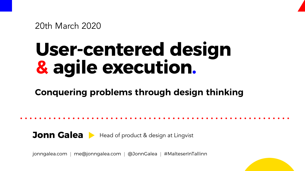# **User-centered design & agile execution.**

### **Conquering problems through design thinking**

### **Jonn Galea** • Head of product & design at Lingvist

jonngalea.com | me@jonngalea.com | @JonnGalea | #MalteserInTallinn



### 20th March 2020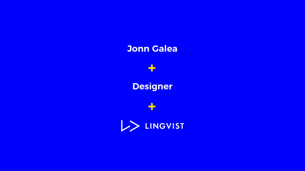$\rightarrow$ 

### **Designer**

## **+**LINGVIST

### **Jonn Galea**

**+**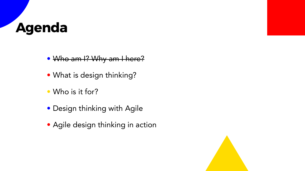## **Agenda**

- Who am I? Why am I here?
- What is design thinking?
- Who is it for?
- Design thinking with Agile
- Agile design thinking in action



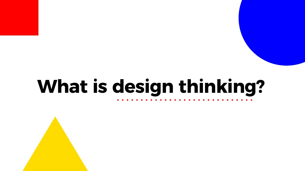# **What is design thinking?**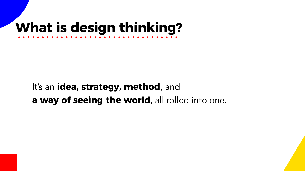## **What is design thinking?**

### It's an **idea, strategy, method**, and **a way of seeing the world,** all rolled into one.



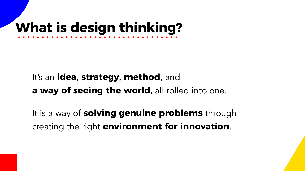It is a way of **solving genuine problems** through creating the right **environment for innovation**.





## **What is design thinking?**

### It's an **idea, strategy, method**, and **a way of seeing the world,** all rolled into one.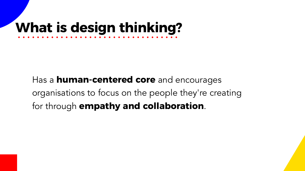## **What is design thinking?**

### Has a **human-centered core** and encourages organisations to focus on the people they're creating for through **empathy and collaboration**.

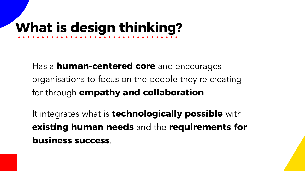# **What is design thinking?**

It integrates what is **technologically possible** with **existing human needs** and the **requirements for business success**.



Has a **human-centered core** and encourages organisations to focus on the people they're creating for through **empathy and collaboration**.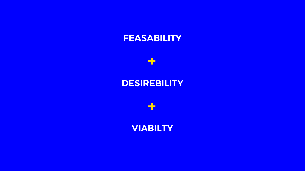### **DESIREBILITY**





### **FEASABILITY**

**+**

## **+ VIABILTY**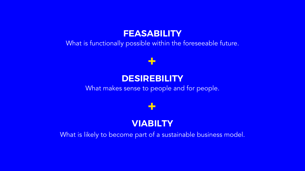### **+**

### **+**

### **VIABILTY**

What is likely to become part of a sustainable business model.

### **DESIREBILITY** What makes sense to people and for people.

### **FEASABILITY** What is functionally possible within the foreseeable future.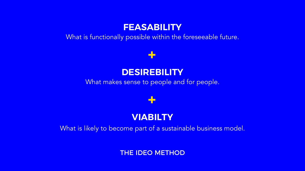### **+**

### **+**

### **VIABILTY** What is likely to become part of a sustainable business model.

### **FEASABILITY** What is functionally possible within the foreseeable future.

### **DESIREBILITY** What makes sense to people and for people.

### THE IDEO METHOD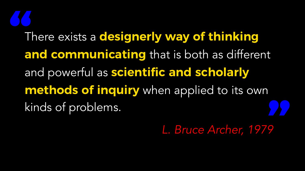# There exists a **designerly way of thinking**  and powerful as **scientific and scholarly**  kinds of problems.

**and communicating** that is both as different **methods of inquiry** when applied to its own

*L. Bruce Archer, 1979*



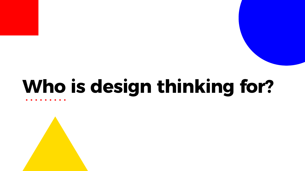# **Who is design thinking for?**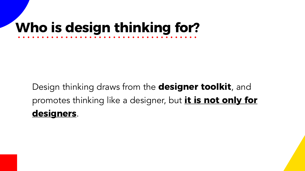## **Who is design thinking for?**

### Design thinking draws from the **designer toolkit**, and promotes thinking like a designer, but **it is not only for designers**.

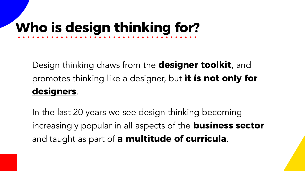# **Who is design thinking for?**

Design thinking draws from the **designer toolkit**, and **designers**.

# promotes thinking like a designer, but **it is not only for**



In the last 20 years we see design thinking becoming increasingly popular in all aspects of the **business sector** and taught as part of **a multitude of curricula**.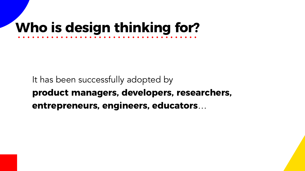### It has been successfully adopted by **product managers, developers, researchers, entrepreneurs, engineers, educators**…



## **Who is design thinking for?**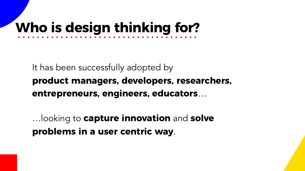…looking to **capture innovation** and **solve problems in a user centric way**.

- 
- 
- 



## **Who is design thinking for?**

### It has been successfully adopted by **product managers, developers, researchers, entrepreneurs, engineers, educators**…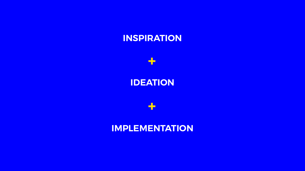## **IDEATION**

### **INSPIRATION**

**+**

**+**

## **IMPLEMENTATION**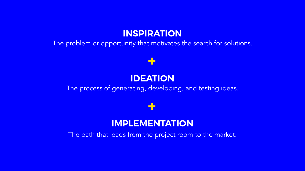**IMPLEMENTATION** The path that leads from the project room to the market.

**+**

### **+**

**IDEATION** The process of generating, developing, and testing ideas.

### **INSPIRATION** The problem or opportunity that motivates the search for solutions.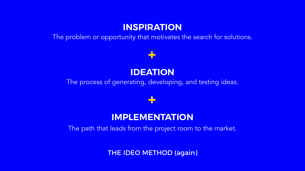### **IMPLEMENTATION** The path that leads from the project room to the market.

### **+**

### **+**

**IDEATION** The process of generating, developing, and testing ideas.

### **INSPIRATION** The problem or opportunity that motivates the search for solutions.

THE IDEO METHOD (again)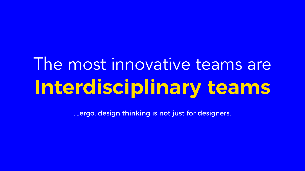# The most innovative teams are **Interdisciplinary teams**

….ergo, design thinking is not just for designers.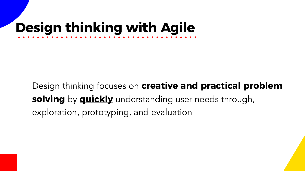## Design thinking focuses on **creative and practical problem**

- 
- 



**solving** by **quickly** understanding user needs through, exploration, prototyping, and evaluation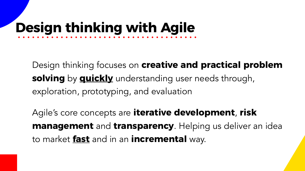### Design thinking focuses on **creative and practical problem**

- **solving** by **quickly** understanding user needs through,
	-

exploration, prototyping, and evaluation

## Agile's core concepts are **iterative development**, **risk management** and **transparency**. Helping us deliver an idea



to market **fast** and in an **incremental** way.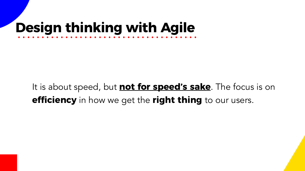### It is about speed, but **not for speed's sake**. The focus is on **efciency** in how we get the **right thing** to our users.

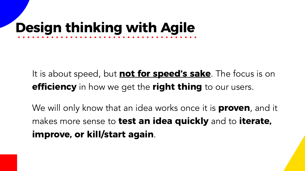### It is about speed, but **not for speed's sake**. The focus is on **efciency** in how we get the **right thing** to our users.



We will only know that an idea works once it is **proven**, and it makes more sense to **test an idea quickly** and to **iterate, improve, or kill/start again**.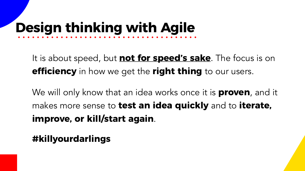### It is about speed, but **not for speed's sake**. The focus is on **efciency** in how we get the **right thing** to our users.

## We will only know that an idea works once it is **proven**, and it makes more sense to **test an idea quickly** and to **iterate,**



**improve, or kill/start again**.

### **#killyourdarlings**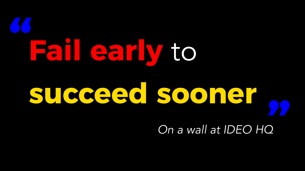# **Fail early** to **succeed sooner**  *On a wall at IDEO HQ* **" "**

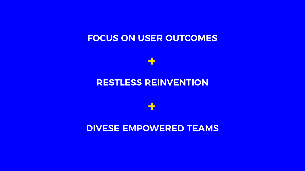### **RESTLESS REINVENTION**

### **FOCUS ON USER OUTCOMES**

**+**

**+**

### **DIVESE EMPOWERED TEAMS**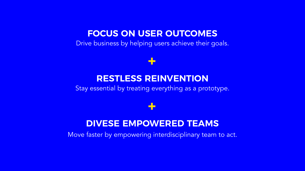### **+**

### **+**

### **DIVESE EMPOWERED TEAMS**

### **RESTLESS REINVENTION** Stay essential by treating everything as a prototype.

Move faster by empowering interdisciplinary team to act.

### **FOCUS ON USER OUTCOMES** Drive business by helping users achieve their goals.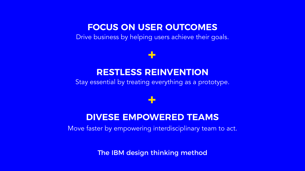### **+**

### **+**

### **DIVESE EMPOWERED TEAMS**

### **RESTLESS REINVENTION** Stay essential by treating everything as a prototype.

Move faster by empowering interdisciplinary team to act.

### **FOCUS ON USER OUTCOMES** Drive business by helping users achieve their goals.

The IBM design thinking method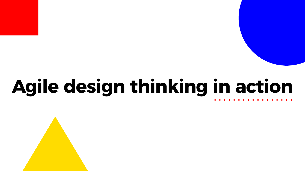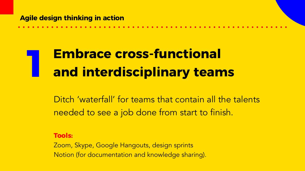## **1 Embrace cross-functional and interdisciplinary team and interdisciplinary teams**

Ditch 'waterfall' for teams that contain all the talents needed to see a job done from start to finish.

**Tools:**

Zoom, Skype, Google Hangouts, design sprints Notion (for documentation and knowledge sharing).

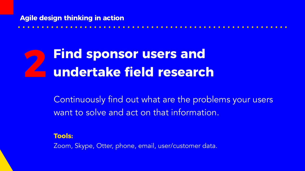

**22 Find sponsor users and <br>22 undertake field research undertake field research**

> Continuously find out what are the problems your users want to solve and act on that information.

**Tools:** Zoom, Skype, Otter, phone, email, user/customer data.

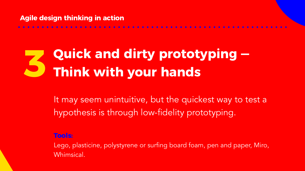## **3 Quick and dirty prototyping — Think with your hands**

It may seem unintuitive, but the quickest way to test a hypothesis is through low-fidelity prototyping.

**Tools:**

Lego, plasticine, polystyrene or surfing board foam, pen and paper, Miro, Whimsical.

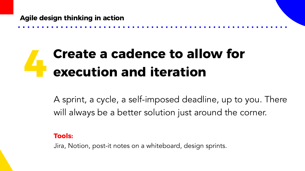## **4 Create a cadence to allow for execution and iteration execution and iteration**

A sprint, a cycle, a self-imposed deadline, up to you. There will always be a better solution just around the corner.

### **Tools:**

Jira, Notion, post-it notes on a whiteboard, design sprints.

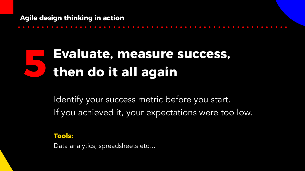Identify your success metric before you start. If you achieved it, your expectations were too low.

## **5 Evaluate, measure success, then do it all again**

### **Tools:**

Data analytics, spreadsheets etc…